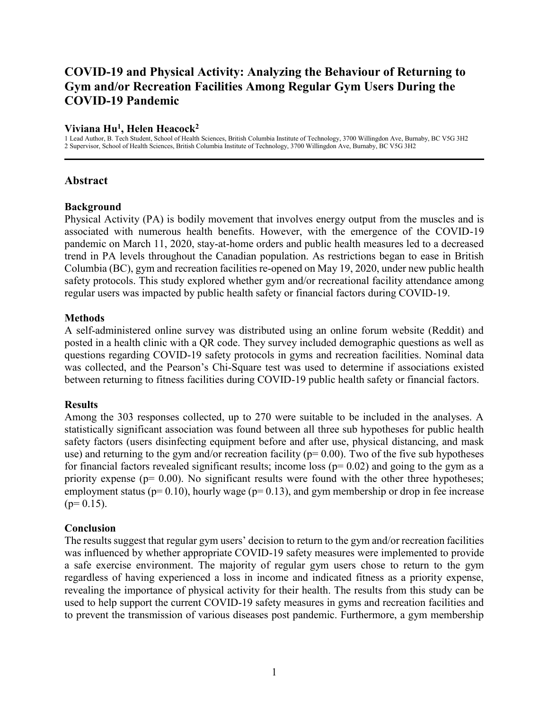# **COVID-19 and Physical Activity: Analyzing the Behaviour of Returning to Gym and/or Recreation Facilities Among Regular Gym Users During the COVID-19 Pandemic**

## **Viviana Hu<sup>1</sup> , Helen Heacock<sup>2</sup>**

1 Lead Author, B. Tech Student, School of Health Sciences, British Columbia Institute of Technology, 3700 Willingdon Ave, Burnaby, BC V5G 3H2 2 Supervisor, School of Health Sciences, British Columbia Institute of Technology, 3700 Willingdon Ave, Burnaby, BC V5G 3H2

## **Abstract**

## **Background**

Physical Activity (PA) is bodily movement that involves energy output from the muscles and is associated with numerous health benefits. However, with the emergence of the COVID-19 pandemic on March 11, 2020, stay-at-home orders and public health measures led to a decreased trend in PA levels throughout the Canadian population. As restrictions began to ease in British Columbia (BC), gym and recreation facilities re-opened on May 19, 2020, under new public health safety protocols. This study explored whether gym and/or recreational facility attendance among regular users was impacted by public health safety or financial factors during COVID-19.

## **Methods**

A self-administered online survey was distributed using an online forum website (Reddit) and posted in a health clinic with a QR code. They survey included demographic questions as well as questions regarding COVID-19 safety protocols in gyms and recreation facilities. Nominal data was collected, and the Pearson's Chi-Square test was used to determine if associations existed between returning to fitness facilities during COVID-19 public health safety or financial factors.

## **Results**

Among the 303 responses collected, up to 270 were suitable to be included in the analyses. A statistically significant association was found between all three sub hypotheses for public health safety factors (users disinfecting equipment before and after use, physical distancing, and mask use) and returning to the gym and/or recreation facility ( $p= 0.00$ ). Two of the five sub hypotheses for financial factors revealed significant results; income loss  $(p= 0.02)$  and going to the gym as a priority expense ( $p= 0.00$ ). No significant results were found with the other three hypotheses; employment status ( $p= 0.10$ ), hourly wage ( $p= 0.13$ ), and gym membership or drop in fee increase  $(p= 0.15)$ .

## **Conclusion**

The results suggest that regular gym users' decision to return to the gym and/or recreation facilities was influenced by whether appropriate COVID-19 safety measures were implemented to provide a safe exercise environment. The majority of regular gym users chose to return to the gym regardless of having experienced a loss in income and indicated fitness as a priority expense, revealing the importance of physical activity for their health. The results from this study can be used to help support the current COVID-19 safety measures in gyms and recreation facilities and to prevent the transmission of various diseases post pandemic. Furthermore, a gym membership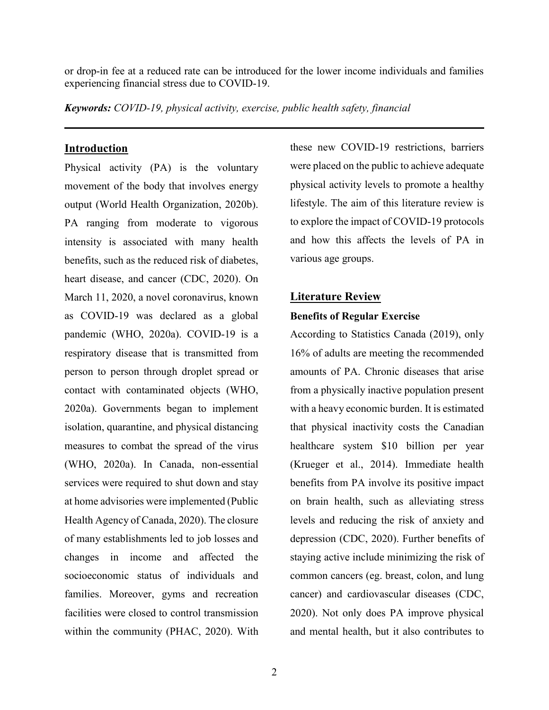or drop-in fee at a reduced rate can be introduced for the lower income individuals and families experiencing financial stress due to COVID-19.

*Keywords: COVID-19, physical activity, exercise, public health safety, financial* 

## **Introduction**

Physical activity (PA) is the voluntary movement of the body that involves energy output (World Health Organization, 2020b). PA ranging from moderate to vigorous intensity is associated with many health benefits, such as the reduced risk of diabetes, heart disease, and cancer (CDC, 2020). On March 11, 2020, a novel coronavirus, known as COVID-19 was declared as a global pandemic (WHO, 2020a). COVID-19 is a respiratory disease that is transmitted from person to person through droplet spread or contact with contaminated objects (WHO, 2020a). Governments began to implement isolation, quarantine, and physical distancing measures to combat the spread of the virus (WHO, 2020a). In Canada, non-essential services were required to shut down and stay at home advisories were implemented (Public Health Agency of Canada, 2020). The closure of many establishments led to job losses and changes in income and affected the socioeconomic status of individuals and families. Moreover, gyms and recreation facilities were closed to control transmission within the community (PHAC, 2020). With

these new COVID-19 restrictions, barriers were placed on the public to achieve adequate physical activity levels to promote a healthy lifestyle. The aim of this literature review is to explore the impact of COVID-19 protocols and how this affects the levels of PA in various age groups.

## **Literature Review**

#### **Benefits of Regular Exercise**

According to Statistics Canada (2019), only 16% of adults are meeting the recommended amounts of PA. Chronic diseases that arise from a physically inactive population present with a heavy economic burden. It is estimated that physical inactivity costs the Canadian healthcare system \$10 billion per year (Krueger et al., 2014). Immediate health benefits from PA involve its positive impact on brain health, such as alleviating stress levels and reducing the risk of anxiety and depression (CDC, 2020). Further benefits of staying active include minimizing the risk of common cancers (eg. breast, colon, and lung cancer) and cardiovascular diseases (CDC, 2020). Not only does PA improve physical and mental health, but it also contributes to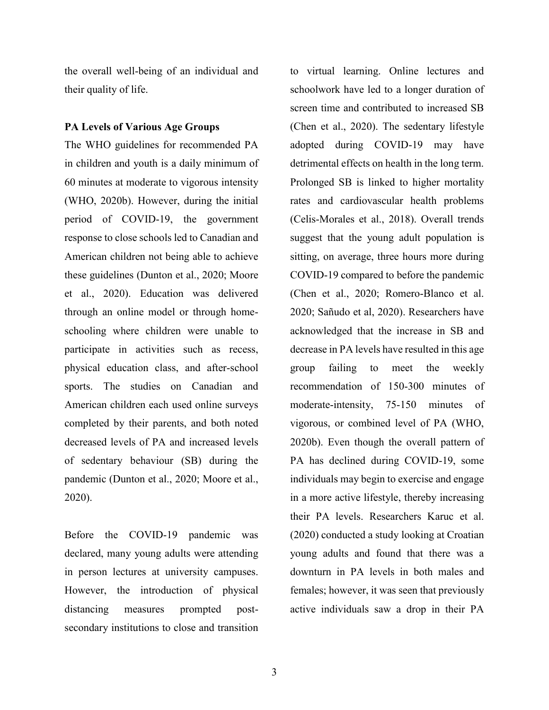the overall well-being of an individual and their quality of life.

## **PA Levels of Various Age Groups**

The WHO guidelines for recommended PA in children and youth is a daily minimum of 60 minutes at moderate to vigorous intensity (WHO, 2020b). However, during the initial period of COVID-19, the government response to close schools led to Canadian and American children not being able to achieve these guidelines (Dunton et al., 2020; Moore et al., 2020). Education was delivered through an online model or through homeschooling where children were unable to participate in activities such as recess, physical education class, and after-school sports. The studies on Canadian and American children each used online surveys completed by their parents, and both noted decreased levels of PA and increased levels of sedentary behaviour (SB) during the pandemic (Dunton et al., 2020; Moore et al., 2020).

Before the COVID-19 pandemic was declared, many young adults were attending in person lectures at university campuses. However, the introduction of physical distancing measures prompted postsecondary institutions to close and transition

to virtual learning. Online lectures and schoolwork have led to a longer duration of screen time and contributed to increased SB (Chen et al., 2020). The sedentary lifestyle adopted during COVID-19 may have detrimental effects on health in the long term. Prolonged SB is linked to higher mortality rates and cardiovascular health problems (Celis-Morales et al., 2018). Overall trends suggest that the young adult population is sitting, on average, three hours more during COVID-19 compared to before the pandemic (Chen et al., 2020; Romero-Blanco et al. 2020; Sañudo et al, 2020). Researchers have acknowledged that the increase in SB and decrease in PA levels have resulted in this age group failing to meet the weekly recommendation of 150-300 minutes of moderate-intensity, 75-150 minutes of vigorous, or combined level of PA (WHO, 2020b). Even though the overall pattern of PA has declined during COVID-19, some individuals may begin to exercise and engage in a more active lifestyle, thereby increasing their PA levels. Researchers Karuc et al. (2020) conducted a study looking at Croatian young adults and found that there was a downturn in PA levels in both males and females; however, it was seen that previously active individuals saw a drop in their PA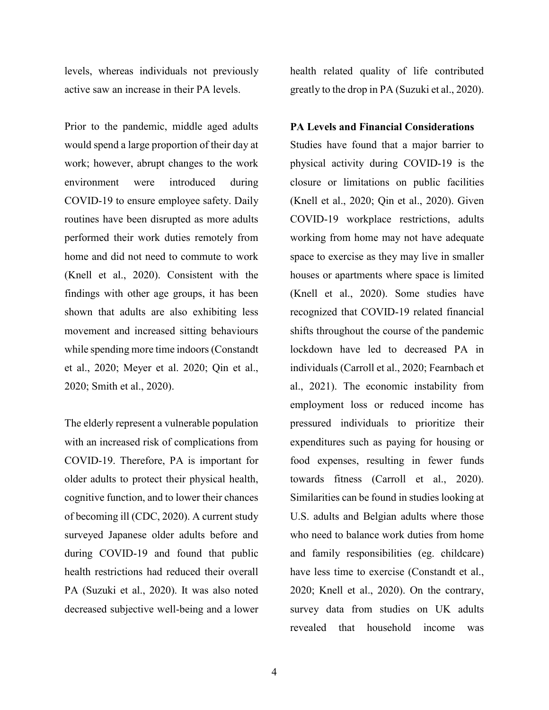levels, whereas individuals not previously active saw an increase in their PA levels.

Prior to the pandemic, middle aged adults would spend a large proportion of their day at work; however, abrupt changes to the work environment were introduced during COVID-19 to ensure employee safety. Daily routines have been disrupted as more adults performed their work duties remotely from home and did not need to commute to work (Knell et al., 2020). Consistent with the findings with other age groups, it has been shown that adults are also exhibiting less movement and increased sitting behaviours while spending more time indoors (Constandt et al., 2020; Meyer et al. 2020; Qin et al., 2020; Smith et al., 2020).

The elderly represent a vulnerable population with an increased risk of complications from COVID-19. Therefore, PA is important for older adults to protect their physical health, cognitive function, and to lower their chances of becoming ill (CDC, 2020). A current study surveyed Japanese older adults before and during COVID-19 and found that public health restrictions had reduced their overall PA (Suzuki et al., 2020). It was also noted decreased subjective well-being and a lower

health related quality of life contributed greatly to the drop in PA (Suzuki et al., 2020).

#### **PA Levels and Financial Considerations**

Studies have found that a major barrier to physical activity during COVID-19 is the closure or limitations on public facilities (Knell et al., 2020; Qin et al., 2020). Given COVID-19 workplace restrictions, adults working from home may not have adequate space to exercise as they may live in smaller houses or apartments where space is limited (Knell et al., 2020). Some studies have recognized that COVID-19 related financial shifts throughout the course of the pandemic lockdown have led to decreased PA in individuals (Carroll et al., 2020; Fearnbach et al., 2021). The economic instability from employment loss or reduced income has pressured individuals to prioritize their expenditures such as paying for housing or food expenses, resulting in fewer funds towards fitness (Carroll et al., 2020). Similarities can be found in studies looking at U.S. adults and Belgian adults where those who need to balance work duties from home and family responsibilities (eg. childcare) have less time to exercise (Constandt et al., 2020; Knell et al., 2020). On the contrary, survey data from studies on UK adults revealed that household income was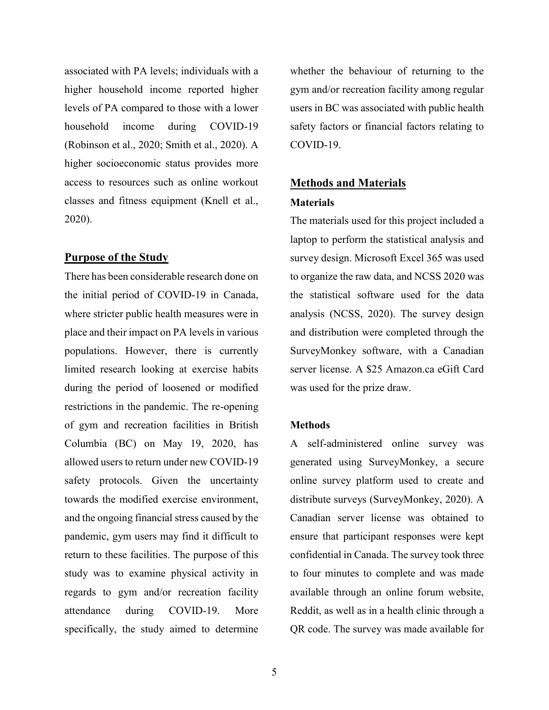associated with PA levels; individuals with a higher household income reported higher levels of PA compared to those with a lower household income during COVID-19 (Robinson et al., 2020; Smith et al., 2020). A higher socioeconomic status provides more access to resources such as online workout classes and fitness equipment (Knell et al., 2020).

#### **Purpose of the Study**

There has been considerable research done on the initial period of COVID-19 in Canada, where stricter public health measures were in place and their impact on PA levels in various populations. However, there is currently limited research looking at exercise habits during the period of loosened or modified restrictions in the pandemic. The re-opening of gym and recreation facilities in British Columbia (BC) on May 19, 2020, has allowed users to return under new COVID-19 safety protocols. Given the uncertainty towards the modified exercise environment, and the ongoing financial stress caused by the pandemic, gym users may find it difficult to return to these facilities. The purpose of this study was to examine physical activity in regards to gym and/or recreation facility attendance during COVID-19. More specifically, the study aimed to determine

whether the behaviour of returning to the gym and/or recreation facility among regular users in BC was associated with public health safety factors or financial factors relating to COVID-19.

# **Methods and Materials Materials**

The materials used for this project included a laptop to perform the statistical analysis and survey design. Microsoft Excel 365 was used to organize the raw data, and NCSS 2020 was the statistical software used for the data analysis (NCSS, 2020). The survey design and distribution were completed through the SurveyMonkey software, with a Canadian server license. A \$25 Amazon.ca eGift Card was used for the prize draw.

#### **Methods**

A self-administered online survey was generated using SurveyMonkey, a secure online survey platform used to create and distribute surveys (SurveyMonkey, 2020). A Canadian server license was obtained to ensure that participant responses were kept confidential in Canada. The survey took three to four minutes to complete and was made available through an online forum website, Reddit, as well as in a health clinic through a QR code. The survey was made available for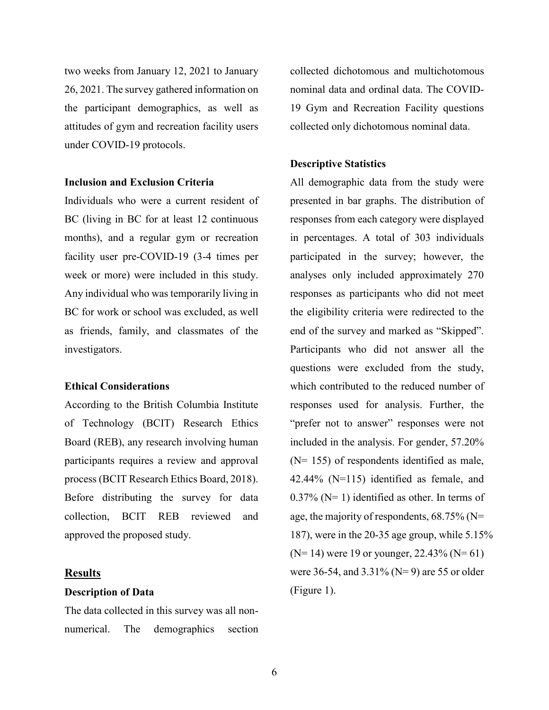two weeks from January 12, 2021 to January 26, 2021. The survey gathered information on the participant demographics, as well as attitudes of gym and recreation facility users under COVID-19 protocols.

## **Inclusion and Exclusion Criteria**

Individuals who were a current resident of BC (living in BC for at least 12 continuous months), and a regular gym or recreation facility user pre-COVID-19 (3-4 times per week or more) were included in this study. Any individual who was temporarily living in BC for work or school was excluded, as well as friends, family, and classmates of the investigators.

#### **Ethical Considerations**

According to the British Columbia Institute of Technology (BCIT) Research Ethics Board (REB), any research involving human participants requires a review and approval process (BCIT Research Ethics Board, 2018). Before distributing the survey for data collection, BCIT REB reviewed and approved the proposed study.

#### **Results**

#### **Description of Data**

The data collected in this survey was all nonnumerical. The demographics section

collected dichotomous and multichotomous nominal data and ordinal data. The COVID-19 Gym and Recreation Facility questions collected only dichotomous nominal data.

#### **Descriptive Statistics**

All demographic data from the study were presented in bar graphs. The distribution of responses from each category were displayed in percentages. A total of 303 individuals participated in the survey; however, the analyses only included approximately 270 responses as participants who did not meet the eligibility criteria were redirected to the end of the survey and marked as "Skipped". Participants who did not answer all the questions were excluded from the study, which contributed to the reduced number of responses used for analysis. Further, the "prefer not to answer" responses were not included in the analysis. For gender, 57.20% (N= 155) of respondents identified as male, 42.44% (N=115) identified as female, and  $0.37\%$  (N= 1) identified as other. In terms of age, the majority of respondents,  $68.75\%$  (N= 187), were in the 20-35 age group, while 5.15%  $(N=14)$  were 19 or younger, 22.43%  $(N=61)$ were 36-54, and  $3.31\%$  (N=9) are 55 or older (Figure 1).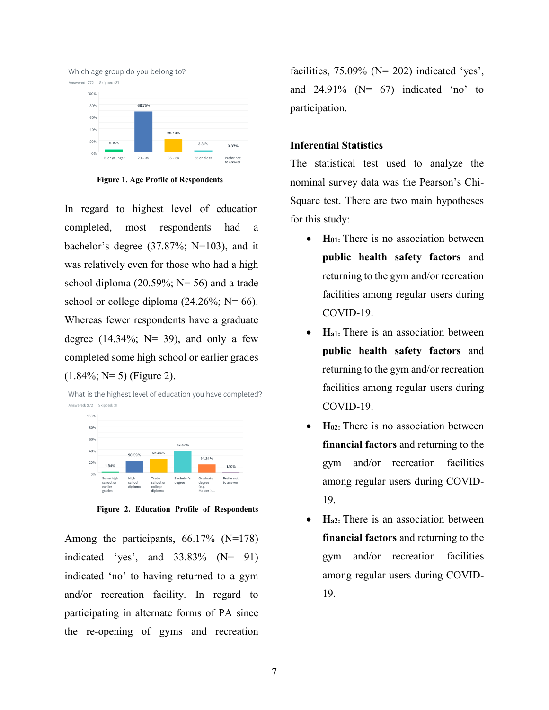

**Figure 1. Age Profile of Respondents** 

In regard to highest level of education completed, most respondents had a bachelor's degree (37.87%; N=103), and it was relatively even for those who had a high school diploma (20.59%; N= 56) and a trade school or college diploma  $(24.26\%; N=66)$ . Whereas fewer respondents have a graduate degree  $(14.34\%;$  N= 39), and only a few completed some high school or earlier grades  $(1.84\%; N=5)$  (Figure 2).

What is the highest level of education you have completed? Answered: 272 Skipped: 31



**Figure 2. Education Profile of Respondents** 

Among the participants, 66.17% (N=178) indicated 'yes', and  $33.83\%$  (N= 91) indicated 'no' to having returned to a gym and/or recreation facility. In regard to participating in alternate forms of PA since the re-opening of gyms and recreation

facilities,  $75.09\%$  (N= 202) indicated 'yes', and  $24.91\%$  (N= 67) indicated 'no' to participation.

#### **Inferential Statistics**

The statistical test used to analyze the nominal survey data was the Pearson's Chi-Square test. There are two main hypotheses for this study:

- **H**<sub>01</sub>: There is no association between **public health safety factors** and returning to the gym and/or recreation facilities among regular users during COVID-19.
- **Ha1:** There is an association between **public health safety factors** and returning to the gym and/or recreation facilities among regular users during COVID-19.
- **H02:** There is no association between **financial factors** and returning to the gym and/or recreation facilities among regular users during COVID-19.
- **Ha2:** There is an association between **financial factors** and returning to the gym and/or recreation facilities among regular users during COVID-19.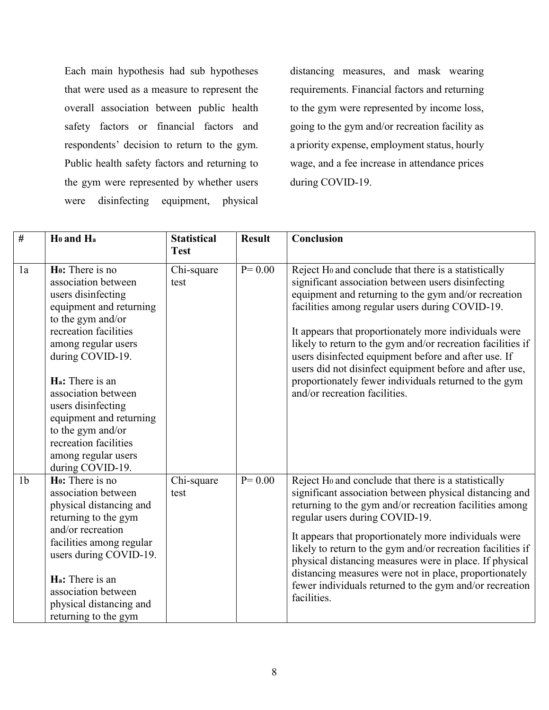Each main hypothesis had sub hypotheses that were used as a measure to represent the overall association between public health safety factors or financial factors and respondents' decision to return to the gym. Public health safety factors and returning to the gym were represented by whether users were disinfecting equipment, physical

distancing measures, and mask wearing requirements. Financial factors and returning to the gym were represented by income loss, going to the gym and/or recreation facility as a priority expense, employment status, hourly wage, and a fee increase in attendance prices during COVID-19.

| $\frac{1}{2}$  | Ho and Ha                                                                                                                                                                                                                                                                                                                                                                         | <b>Statistical</b><br><b>Test</b> | <b>Result</b> | Conclusion                                                                                                                                                                                                                                                                                                                                                                                                                                                                                                                                                             |
|----------------|-----------------------------------------------------------------------------------------------------------------------------------------------------------------------------------------------------------------------------------------------------------------------------------------------------------------------------------------------------------------------------------|-----------------------------------|---------------|------------------------------------------------------------------------------------------------------------------------------------------------------------------------------------------------------------------------------------------------------------------------------------------------------------------------------------------------------------------------------------------------------------------------------------------------------------------------------------------------------------------------------------------------------------------------|
| 1a             | Ho: There is no<br>association between<br>users disinfecting<br>equipment and returning<br>to the gym and/or<br>recreation facilities<br>among regular users<br>during COVID-19.<br>H <sub>a</sub> : There is an<br>association between<br>users disinfecting<br>equipment and returning<br>to the gym and/or<br>recreation facilities<br>among regular users<br>during COVID-19. | Chi-square<br>test                | $P = 0.00$    | Reject H <sub>0</sub> and conclude that there is a statistically<br>significant association between users disinfecting<br>equipment and returning to the gym and/or recreation<br>facilities among regular users during COVID-19.<br>It appears that proportionately more individuals were<br>likely to return to the gym and/or recreation facilities if<br>users disinfected equipment before and after use. If<br>users did not disinfect equipment before and after use,<br>proportionately fewer individuals returned to the gym<br>and/or recreation facilities. |
| 1 <sub>b</sub> | Ho: There is no<br>association between<br>physical distancing and<br>returning to the gym<br>and/or recreation<br>facilities among regular<br>users during COVID-19.<br>H <sub>a</sub> : There is an<br>association between<br>physical distancing and<br>returning to the gym                                                                                                    | Chi-square<br>test                | $P = 0.00$    | Reject Ho and conclude that there is a statistically<br>significant association between physical distancing and<br>returning to the gym and/or recreation facilities among<br>regular users during COVID-19.<br>It appears that proportionately more individuals were<br>likely to return to the gym and/or recreation facilities if<br>physical distancing measures were in place. If physical<br>distancing measures were not in place, proportionately<br>fewer individuals returned to the gym and/or recreation<br>facilities.                                    |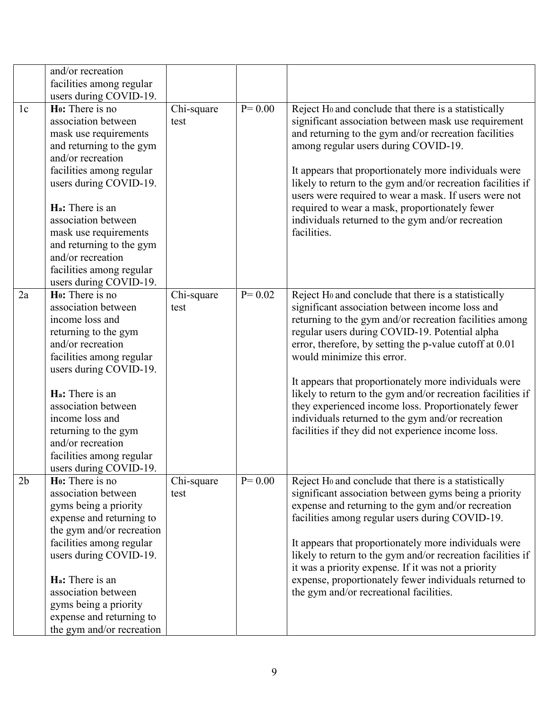|                | and/or recreation<br>facilities among regular<br>users during COVID-19.                                                                                                                                                                                                                                                                                                    |                    |            |                                                                                                                                                                                                                                                                                                                                                                                                                                                                                                                                                                                                         |
|----------------|----------------------------------------------------------------------------------------------------------------------------------------------------------------------------------------------------------------------------------------------------------------------------------------------------------------------------------------------------------------------------|--------------------|------------|---------------------------------------------------------------------------------------------------------------------------------------------------------------------------------------------------------------------------------------------------------------------------------------------------------------------------------------------------------------------------------------------------------------------------------------------------------------------------------------------------------------------------------------------------------------------------------------------------------|
| 1 <sub>c</sub> | H <sub>0</sub> : There is no<br>association between<br>mask use requirements<br>and returning to the gym<br>and/or recreation<br>facilities among regular<br>users during COVID-19.<br>H <sub>a</sub> : There is an<br>association between<br>mask use requirements<br>and returning to the gym<br>and/or recreation<br>facilities among regular<br>users during COVID-19. | Chi-square<br>test | $P = 0.00$ | Reject Ho and conclude that there is a statistically<br>significant association between mask use requirement<br>and returning to the gym and/or recreation facilities<br>among regular users during COVID-19.<br>It appears that proportionately more individuals were<br>likely to return to the gym and/or recreation facilities if<br>users were required to wear a mask. If users were not<br>required to wear a mask, proportionately fewer<br>individuals returned to the gym and/or recreation<br>facilities.                                                                                    |
| 2a             | Ho: There is no<br>association between<br>income loss and<br>returning to the gym<br>and/or recreation<br>facilities among regular<br>users during COVID-19.<br>Ha: There is an<br>association between<br>income loss and<br>returning to the gym<br>and/or recreation<br>facilities among regular<br>users during COVID-19.                                               | Chi-square<br>test | $P = 0.02$ | Reject Ho and conclude that there is a statistically<br>significant association between income loss and<br>returning to the gym and/or recreation facilities among<br>regular users during COVID-19. Potential alpha<br>error, therefore, by setting the p-value cutoff at 0.01<br>would minimize this error.<br>It appears that proportionately more individuals were<br>likely to return to the gym and/or recreation facilities if<br>they experienced income loss. Proportionately fewer<br>individuals returned to the gym and/or recreation<br>facilities if they did not experience income loss. |
| 2 <sub>b</sub> | H <sub>0</sub> : There is no<br>association between<br>gyms being a priority<br>expense and returning to<br>the gym and/or recreation<br>facilities among regular<br>users during COVID-19.<br>H <sub>a</sub> : There is an<br>association between<br>gyms being a priority<br>expense and returning to<br>the gym and/or recreation                                       | Chi-square<br>test | $P = 0.00$ | Reject Ho and conclude that there is a statistically<br>significant association between gyms being a priority<br>expense and returning to the gym and/or recreation<br>facilities among regular users during COVID-19.<br>It appears that proportionately more individuals were<br>likely to return to the gym and/or recreation facilities if<br>it was a priority expense. If it was not a priority<br>expense, proportionately fewer individuals returned to<br>the gym and/or recreational facilities.                                                                                              |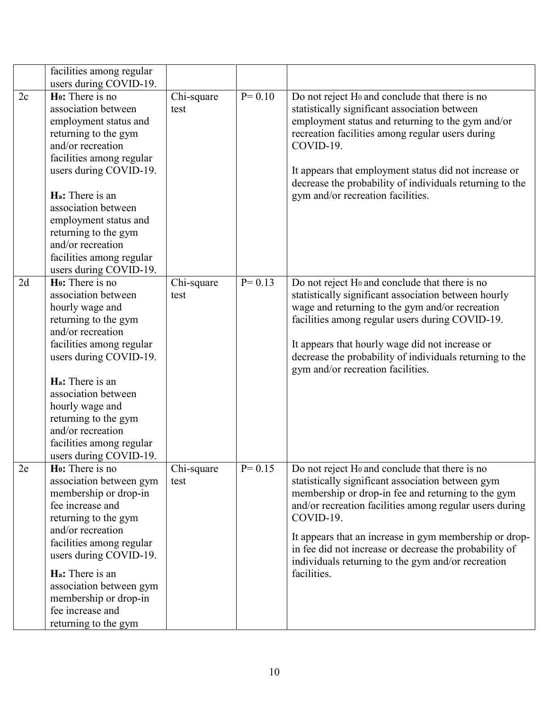|    | facilities among regular<br>users during COVID-19.                                                                                                                                                                                                                                                                                                    |                    |            |                                                                                                                                                                                                                                                                                                                                                                                                                                        |
|----|-------------------------------------------------------------------------------------------------------------------------------------------------------------------------------------------------------------------------------------------------------------------------------------------------------------------------------------------------------|--------------------|------------|----------------------------------------------------------------------------------------------------------------------------------------------------------------------------------------------------------------------------------------------------------------------------------------------------------------------------------------------------------------------------------------------------------------------------------------|
| 2c | Ho: There is no<br>association between<br>employment status and<br>returning to the gym<br>and/or recreation<br>facilities among regular<br>users during COVID-19.<br>H <sub>a</sub> : There is an<br>association between<br>employment status and<br>returning to the gym<br>and/or recreation<br>facilities among regular<br>users during COVID-19. | Chi-square<br>test | $P = 0.10$ | Do not reject H <sub>0</sub> and conclude that there is no<br>statistically significant association between<br>employment status and returning to the gym and/or<br>recreation facilities among regular users during<br>COVID-19.<br>It appears that employment status did not increase or<br>decrease the probability of individuals returning to the<br>gym and/or recreation facilities.                                            |
| 2d | Ho: There is no<br>association between<br>hourly wage and<br>returning to the gym<br>and/or recreation<br>facilities among regular<br>users during COVID-19.<br>H <sub>a</sub> : There is an<br>association between<br>hourly wage and<br>returning to the gym<br>and/or recreation<br>facilities among regular<br>users during COVID-19.             | Chi-square<br>test | $P = 0.13$ | Do not reject H <sub>0</sub> and conclude that there is no<br>statistically significant association between hourly<br>wage and returning to the gym and/or recreation<br>facilities among regular users during COVID-19.<br>It appears that hourly wage did not increase or<br>decrease the probability of individuals returning to the<br>gym and/or recreation facilities.                                                           |
| 2e | Ho: There is no<br>association between gym<br>membership or drop-in<br>fee increase and<br>returning to the gym<br>and/or recreation<br>facilities among regular<br>users during COVID-19.<br>H <sub>a</sub> : There is an<br>association between gym<br>membership or drop-in<br>fee increase and<br>returning to the gym                            | Chi-square<br>test | $P = 0.15$ | Do not reject H <sub>0</sub> and conclude that there is no<br>statistically significant association between gym<br>membership or drop-in fee and returning to the gym<br>and/or recreation facilities among regular users during<br>COVID-19.<br>It appears that an increase in gym membership or drop-<br>in fee did not increase or decrease the probability of<br>individuals returning to the gym and/or recreation<br>facilities. |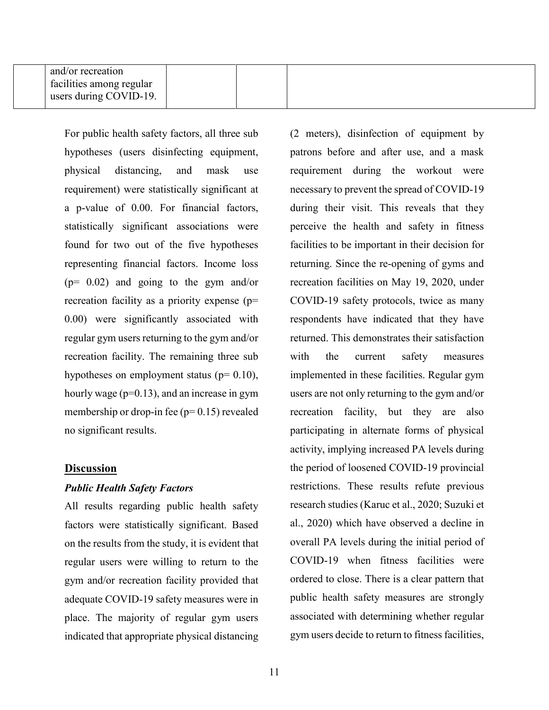| and/or recreation<br>I facilities among regular<br>users during COVID-19. |  |
|---------------------------------------------------------------------------|--|
|---------------------------------------------------------------------------|--|

For public health safety factors, all three sub hypotheses (users disinfecting equipment, physical distancing, and mask use requirement) were statistically significant at a p-value of 0.00. For financial factors, statistically significant associations were found for two out of the five hypotheses representing financial factors. Income loss (p= 0.02) and going to the gym and/or recreation facility as a priority expense (p= 0.00) were significantly associated with regular gym users returning to the gym and/or recreation facility. The remaining three sub hypotheses on employment status ( $p= 0.10$ ), hourly wage ( $p=0.13$ ), and an increase in gym membership or drop-in fee  $(p= 0.15)$  revealed no significant results.

#### **Discussion**

#### *Public Health Safety Factors*

All results regarding public health safety factors were statistically significant. Based on the results from the study, it is evident that regular users were willing to return to the gym and/or recreation facility provided that adequate COVID-19 safety measures were in place. The majority of regular gym users indicated that appropriate physical distancing (2 meters), disinfection of equipment by patrons before and after use, and a mask requirement during the workout were necessary to prevent the spread of COVID-19 during their visit. This reveals that they perceive the health and safety in fitness facilities to be important in their decision for returning. Since the re-opening of gyms and recreation facilities on May 19, 2020, under COVID-19 safety protocols, twice as many respondents have indicated that they have returned. This demonstrates their satisfaction with the current safety measures implemented in these facilities. Regular gym users are not only returning to the gym and/or recreation facility, but they are also participating in alternate forms of physical activity, implying increased PA levels during the period of loosened COVID-19 provincial restrictions. These results refute previous research studies (Karuc et al., 2020; Suzuki et al., 2020) which have observed a decline in overall PA levels during the initial period of COVID-19 when fitness facilities were ordered to close. There is a clear pattern that public health safety measures are strongly associated with determining whether regular gym users decide to return to fitness facilities,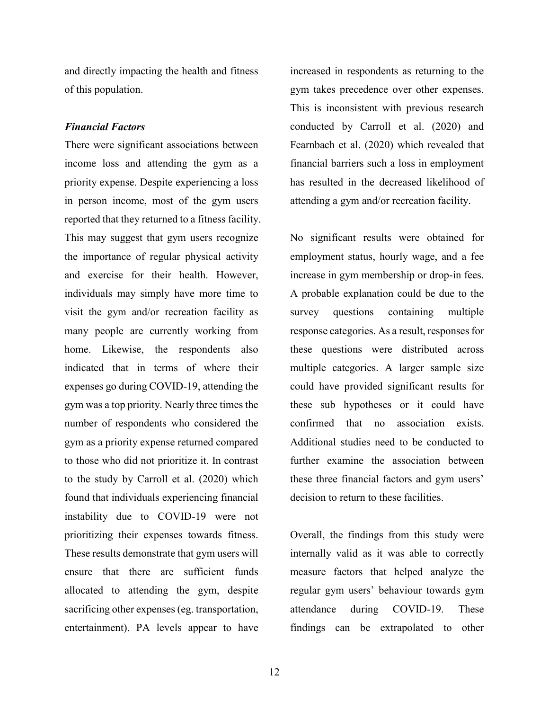and directly impacting the health and fitness of this population.

#### *Financial Factors*

There were significant associations between income loss and attending the gym as a priority expense. Despite experiencing a loss in person income, most of the gym users reported that they returned to a fitness facility. This may suggest that gym users recognize the importance of regular physical activity and exercise for their health. However, individuals may simply have more time to visit the gym and/or recreation facility as many people are currently working from home. Likewise, the respondents also indicated that in terms of where their expenses go during COVID-19, attending the gym was a top priority. Nearly three times the number of respondents who considered the gym as a priority expense returned compared to those who did not prioritize it. In contrast to the study by Carroll et al. (2020) which found that individuals experiencing financial instability due to COVID-19 were not prioritizing their expenses towards fitness. These results demonstrate that gym users will ensure that there are sufficient funds allocated to attending the gym, despite sacrificing other expenses (eg. transportation, entertainment). PA levels appear to have

increased in respondents as returning to the gym takes precedence over other expenses. This is inconsistent with previous research conducted by Carroll et al. (2020) and Fearnbach et al. (2020) which revealed that financial barriers such a loss in employment has resulted in the decreased likelihood of attending a gym and/or recreation facility.

No significant results were obtained for employment status, hourly wage, and a fee increase in gym membership or drop-in fees. A probable explanation could be due to the survey questions containing multiple response categories. As a result, responses for these questions were distributed across multiple categories. A larger sample size could have provided significant results for these sub hypotheses or it could have confirmed that no association exists. Additional studies need to be conducted to further examine the association between these three financial factors and gym users' decision to return to these facilities.

Overall, the findings from this study were internally valid as it was able to correctly measure factors that helped analyze the regular gym users' behaviour towards gym attendance during COVID-19. These findings can be extrapolated to other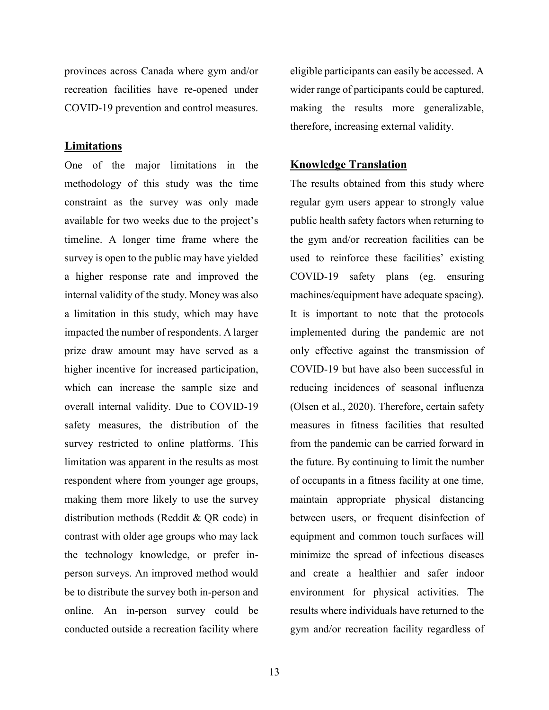provinces across Canada where gym and/or recreation facilities have re-opened under COVID-19 prevention and control measures.

#### **Limitations**

One of the major limitations in the methodology of this study was the time constraint as the survey was only made available for two weeks due to the project's timeline. A longer time frame where the survey is open to the public may have yielded a higher response rate and improved the internal validity of the study. Money was also a limitation in this study, which may have impacted the number of respondents. A larger prize draw amount may have served as a higher incentive for increased participation, which can increase the sample size and overall internal validity. Due to COVID-19 safety measures, the distribution of the survey restricted to online platforms. This limitation was apparent in the results as most respondent where from younger age groups, making them more likely to use the survey distribution methods (Reddit & QR code) in contrast with older age groups who may lack the technology knowledge, or prefer inperson surveys. An improved method would be to distribute the survey both in-person and online. An in-person survey could be conducted outside a recreation facility where

eligible participants can easily be accessed. A wider range of participants could be captured, making the results more generalizable, therefore, increasing external validity.

## **Knowledge Translation**

The results obtained from this study where regular gym users appear to strongly value public health safety factors when returning to the gym and/or recreation facilities can be used to reinforce these facilities' existing COVID-19 safety plans (eg. ensuring machines/equipment have adequate spacing). It is important to note that the protocols implemented during the pandemic are not only effective against the transmission of COVID-19 but have also been successful in reducing incidences of seasonal influenza (Olsen et al., 2020). Therefore, certain safety measures in fitness facilities that resulted from the pandemic can be carried forward in the future. By continuing to limit the number of occupants in a fitness facility at one time, maintain appropriate physical distancing between users, or frequent disinfection of equipment and common touch surfaces will minimize the spread of infectious diseases and create a healthier and safer indoor environment for physical activities. The results where individuals have returned to the gym and/or recreation facility regardless of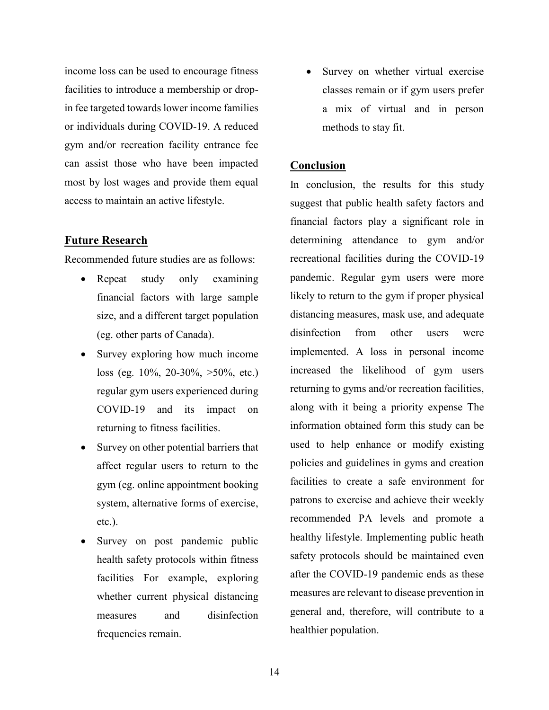income loss can be used to encourage fitness facilities to introduce a membership or dropin fee targeted towards lower income families or individuals during COVID-19. A reduced gym and/or recreation facility entrance fee can assist those who have been impacted most by lost wages and provide them equal access to maintain an active lifestyle.

# **Future Research**

Recommended future studies are as follows:

- Repeat study only examining financial factors with large sample size, and a different target population (eg. other parts of Canada).
- Survey exploring how much income loss (eg. 10%, 20-30%, >50%, etc.) regular gym users experienced during COVID-19 and its impact on returning to fitness facilities.
- Survey on other potential barriers that affect regular users to return to the gym (eg. online appointment booking system, alternative forms of exercise, etc.).
- Survey on post pandemic public health safety protocols within fitness facilities For example, exploring whether current physical distancing measures and disinfection frequencies remain.

• Survey on whether virtual exercise classes remain or if gym users prefer a mix of virtual and in person methods to stay fit.

# **Conclusion**

In conclusion, the results for this study suggest that public health safety factors and financial factors play a significant role in determining attendance to gym and/or recreational facilities during the COVID-19 pandemic. Regular gym users were more likely to return to the gym if proper physical distancing measures, mask use, and adequate disinfection from other users were implemented. A loss in personal income increased the likelihood of gym users returning to gyms and/or recreation facilities, along with it being a priority expense The information obtained form this study can be used to help enhance or modify existing policies and guidelines in gyms and creation facilities to create a safe environment for patrons to exercise and achieve their weekly recommended PA levels and promote a healthy lifestyle. Implementing public heath safety protocols should be maintained even after the COVID-19 pandemic ends as these measures are relevant to disease prevention in general and, therefore, will contribute to a healthier population.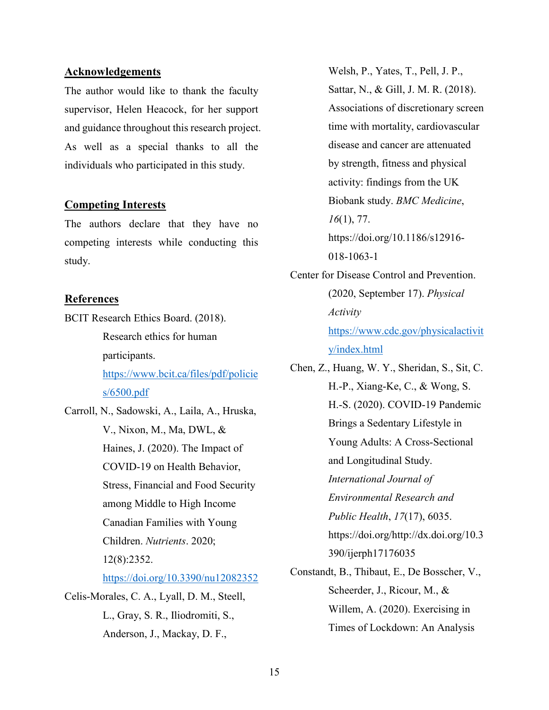#### **Acknowledgements**

The author would like to thank the faculty supervisor, Helen Heacock, for her support and guidance throughout this research project. As well as a special thanks to all the individuals who participated in this study.

## **Competing Interests**

The authors declare that they have no competing interests while conducting this study.

## **References**

BCIT Research Ethics Board. (2018). Research ethics for human participants. [https://www.bcit.ca/files/pdf/policie](https://www.bcit.ca/files/pdf/policies/6500.pdf) [s/6500.pdf](https://www.bcit.ca/files/pdf/policies/6500.pdf)

Carroll, N., Sadowski, A., Laila, A., Hruska, V., Nixon, M., Ma, DWL, & Haines, J. (2020). The Impact of COVID-19 on Health Behavior, Stress, Financial and Food Security among Middle to High Income Canadian Families with Young Children. *Nutrients*. 2020; 12(8):2352. <https://doi.org/10.3390/nu12082352> Celis-Morales, C. A., Lyall, D. M., Steell,

L., Gray, S. R., Iliodromiti, S., Anderson, J., Mackay, D. F.,

Welsh, P., Yates, T., Pell, J. P., Sattar, N., & Gill, J. M. R. (2018). Associations of discretionary screen time with mortality, cardiovascular disease and cancer are attenuated by strength, fitness and physical activity: findings from the UK Biobank study. *BMC Medicine*, *16*(1), 77. https://doi.org/10.1186/s12916- 018-1063-1

Center for Disease Control and Prevention. (2020, September 17). *Physical Activity* [https://www.cdc.gov/physicalactivit](https://www.cdc.gov/physicalactivity/index.html) [y/index.html](https://www.cdc.gov/physicalactivity/index.html)

Chen, Z., Huang, W. Y., Sheridan, S., Sit, C. H.-P., Xiang-Ke, C., & Wong, S. H.-S. (2020). COVID-19 Pandemic Brings a Sedentary Lifestyle in Young Adults: A Cross-Sectional and Longitudinal Study. *International Journal of Environmental Research and Public Health*, *17*(17), 6035. https://doi.org/http://dx.doi.org/10.3 390/ijerph17176035 Constandt, B., Thibaut, E., De Bosscher, V.,

Scheerder, J., Ricour, M., & Willem, A. (2020). Exercising in Times of Lockdown: An Analysis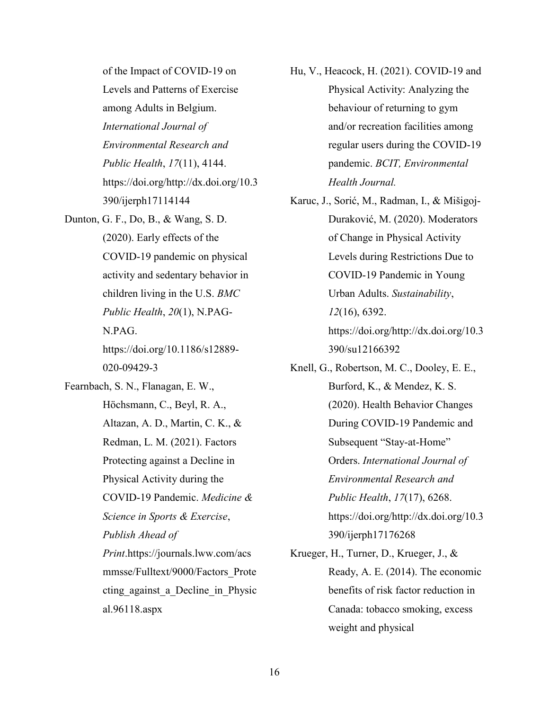of the Impact of COVID-19 on Levels and Patterns of Exercise among Adults in Belgium. *International Journal of Environmental Research and Public Health*, *17*(11), 4144. https://doi.org/http://dx.doi.org/10.3 390/ijerph17114144

Dunton, G. F., Do, B., & Wang, S. D. (2020). Early effects of the COVID-19 pandemic on physical activity and sedentary behavior in children living in the U.S. *BMC Public Health*, *20*(1), N.PAG-N.PAG. https://doi.org/10.1186/s12889-

020-09429-3

Fearnbach, S. N., Flanagan, E. W., Höchsmann, C., Beyl, R. A., Altazan, A. D., Martin, C. K., & Redman, L. M. (2021). Factors Protecting against a Decline in Physical Activity during the COVID-19 Pandemic. *Medicine & Science in Sports & Exercise*, *Publish Ahead of Print*.https://journals.lww.com/acs mmsse/Fulltext/9000/Factors\_Prote cting against a Decline in Physic al.96118.aspx

- Hu, V., Heacock, H. (2021). COVID-19 and Physical Activity: Analyzing the behaviour of returning to gym and/or recreation facilities among regular users during the COVID-19 pandemic. *BCIT, Environmental Health Journal.*
- Karuc, J., Sorić, M., Radman, I., & Mišigoj-Duraković, M. (2020). Moderators of Change in Physical Activity Levels during Restrictions Due to COVID-19 Pandemic in Young Urban Adults. *Sustainability*, *12*(16), 6392. https://doi.org/http://dx.doi.org/10.3 390/su12166392
- Knell, G., Robertson, M. C., Dooley, E. E., Burford, K., & Mendez, K. S. (2020). Health Behavior Changes During COVID-19 Pandemic and Subsequent "Stay-at-Home" Orders. *International Journal of Environmental Research and Public Health*, *17*(17), 6268. https://doi.org/http://dx.doi.org/10.3 390/ijerph17176268
- Krueger, H., Turner, D., Krueger, J., & Ready, A. E. (2014). The economic benefits of risk factor reduction in Canada: tobacco smoking, excess weight and physical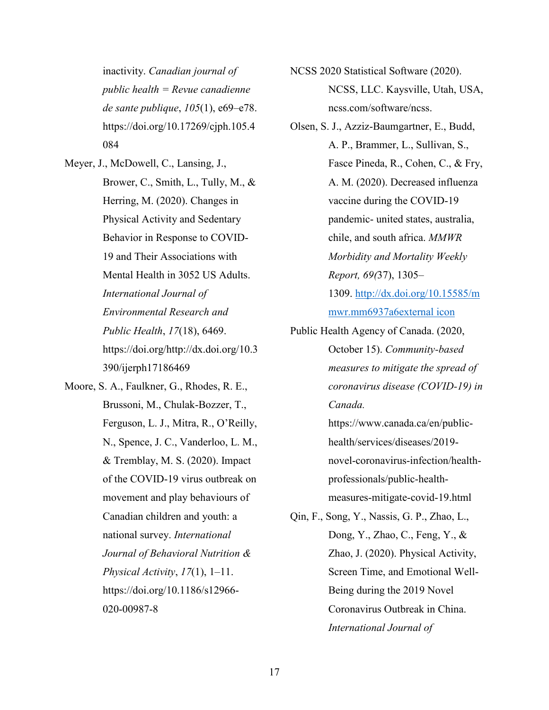inactivity. *Canadian journal of public health = Revue canadienne de sante publique*, *105*(1), e69–e78. https://doi.org/10.17269/cjph.105.4 084

- Meyer, J., McDowell, C., Lansing, J., Brower, C., Smith, L., Tully, M., & Herring, M. (2020). Changes in Physical Activity and Sedentary Behavior in Response to COVID-19 and Their Associations with Mental Health in 3052 US Adults. *International Journal of Environmental Research and Public Health*, *17*(18), 6469. https://doi.org/http://dx.doi.org/10.3 390/ijerph17186469
- Moore, S. A., Faulkner, G., Rhodes, R. E., Brussoni, M., Chulak-Bozzer, T., Ferguson, L. J., Mitra, R., O'Reilly, N., Spence, J. C., Vanderloo, L. M., & Tremblay, M. S. (2020). Impact of the COVID-19 virus outbreak on movement and play behaviours of Canadian children and youth: a national survey. *International Journal of Behavioral Nutrition & Physical Activity*, *17*(1), 1–11. https://doi.org/10.1186/s12966- 020-00987-8

NCSS 2020 Statistical Software (2020). NCSS, LLC. Kaysville, Utah, USA, ncss.com/software/ncss.

Olsen, S. J., Azziz-Baumgartner, E., Budd, A. P., Brammer, L., Sullivan, S., Fasce Pineda, R., Cohen, C., & Fry, A. M. (2020). Decreased influenza vaccine during the COVID-19 pandemic- united states, australia, chile, and south africa. *MMWR Morbidity and Mortality Weekly Report, 69(*37), 1305– 1309. [http://dx.doi.org/10.15585/m](http://dx.doi.org/10.15585/mmwr.mm6937a6)

[mwr.mm6937a6external icon](http://dx.doi.org/10.15585/mmwr.mm6937a6)

Public Health Agency of Canada. (2020, October 15). *Community-based measures to mitigate the spread of coronavirus disease (COVID-19) in Canada.* https://www.canada.ca/en/publichealth/services/diseases/2019-

> novel-coronavirus-infection/healthprofessionals/public-healthmeasures-mitigate-covid-19.html

Qin, F., Song, Y., Nassis, G. P., Zhao, L., Dong, Y., Zhao, C., Feng, Y., & Zhao, J. (2020). Physical Activity, Screen Time, and Emotional Well-Being during the 2019 Novel Coronavirus Outbreak in China. *International Journal of*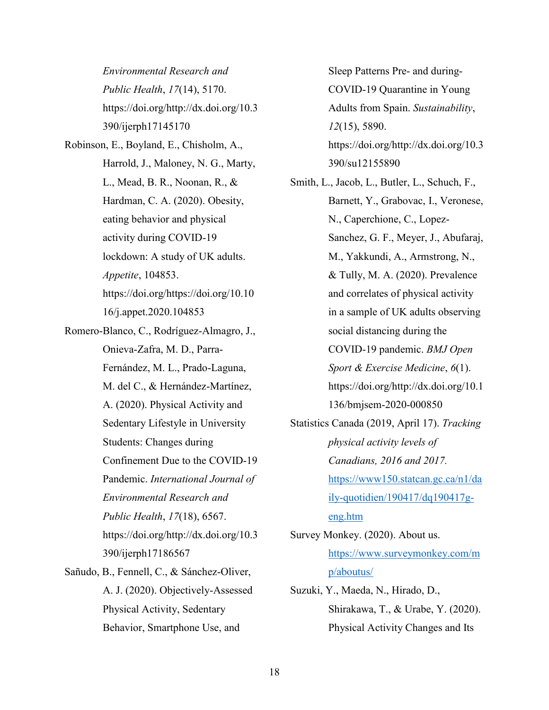*Environmental Research and Public Health*, *17*(14), 5170. https://doi.org/http://dx.doi.org/10.3 390/ijerph17145170

Robinson, E., Boyland, E., Chisholm, A., Harrold, J., Maloney, N. G., Marty, L., Mead, B. R., Noonan, R., & Hardman, C. A. (2020). Obesity, eating behavior and physical activity during COVID-19 lockdown: A study of UK adults. *Appetite*, 104853. https://doi.org/https://doi.org/10.10 16/j.appet.2020.104853

- Romero-Blanco, C., Rodríguez-Almagro, J., Onieva-Zafra, M. D., Parra-Fernández, M. L., Prado-Laguna, M. del C., & Hernández-Martínez, A. (2020). Physical Activity and Sedentary Lifestyle in University Students: Changes during Confinement Due to the COVID-19 Pandemic. *International Journal of Environmental Research and Public Health*, *17*(18), 6567. https://doi.org/http://dx.doi.org/10.3 390/ijerph17186567 Sañudo, B., Fennell, C., & Sánchez-Oliver,
- A. J. (2020). Objectively-Assessed Physical Activity, Sedentary Behavior, Smartphone Use, and

Sleep Patterns Pre- and during-COVID-19 Quarantine in Young Adults from Spain. *Sustainability*, *12*(15), 5890. https://doi.org/http://dx.doi.org/10.3 390/su12155890

Smith, L., Jacob, L., Butler, L., Schuch, F., Barnett, Y., Grabovac, I., Veronese, N., Caperchione, C., Lopez-Sanchez, G. F., Meyer, J., Abufaraj, M., Yakkundi, A., Armstrong, N., & Tully, M. A. (2020). Prevalence and correlates of physical activity in a sample of UK adults observing social distancing during the COVID-19 pandemic. *BMJ Open Sport & Exercise Medicine*, *6*(1). https://doi.org/http://dx.doi.org/10.1 136/bmjsem-2020-000850

Statistics Canada (2019, April 17). *Tracking physical activity levels of Canadians, 2016 and 2017.* [https://www150.statcan.gc.ca/n1/da](https://www150.statcan.gc.ca/n1/daily-quotidien/190417/dq190417g-eng.htm) [ily-quotidien/190417/dq190417g](https://www150.statcan.gc.ca/n1/daily-quotidien/190417/dq190417g-eng.htm)[eng.htm](https://www150.statcan.gc.ca/n1/daily-quotidien/190417/dq190417g-eng.htm)

Survey Monkey. (2020). About us. [https://www.surveymonkey.com/m](https://www.surveymonkey.com/mp/aboutus/) [p/aboutus/](https://www.surveymonkey.com/mp/aboutus/)

Suzuki, Y., Maeda, N., Hirado, D., Shirakawa, T., & Urabe, Y. (2020). Physical Activity Changes and Its